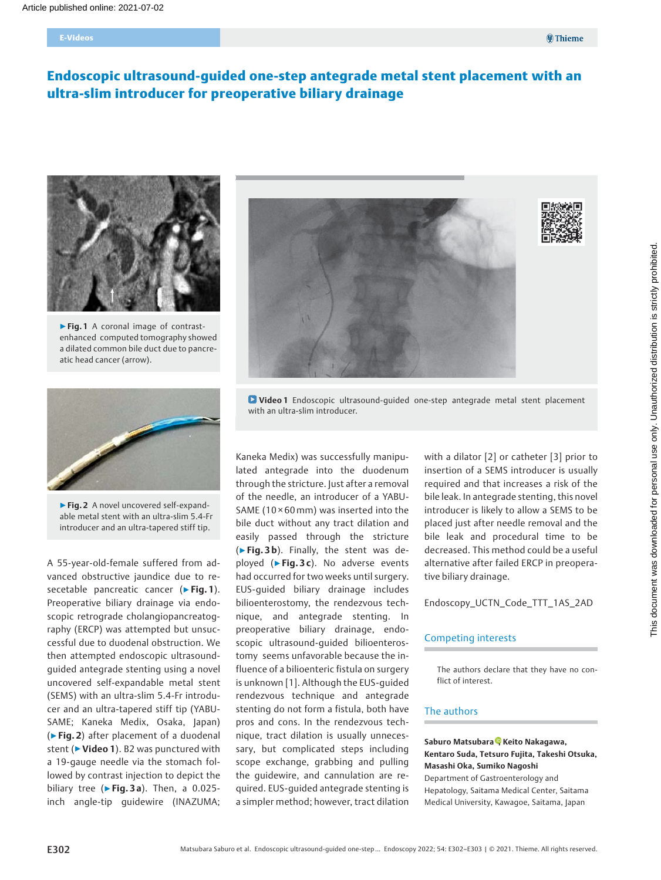#### E-Videos

# Endoscopic ultrasound-guided one-step antegrade metal stent placement with an ultra-slim introducer for preoperative biliary drainage



▶ Fig. 1 A coronal image of contrastenhanced computed tomography showed a dilated common bile duct due to pancreatic head cancer (arrow).



▶Fig. 2 A novel uncovered self-expandable metal stent with an ultra-slim 5.4-Fr introducer and an ultra-tapered stiff tip.

A 55-year-old-female suffered from advanced obstructive jaundice due to resecetable pancreatic cancer (► Fig. 1). Preoperative biliary drainage via endoscopic retrograde cholangiopancreatography (ERCP) was attempted but unsuccessful due to duodenal obstruction. We then attempted endoscopic ultrasoundguided antegrade stenting using a novel uncovered self-expandable metal stent (SEMS) with an ultra-slim 5.4-Fr introducer and an ultra-tapered stiff tip (YABU-SAME; Kaneka Medix, Osaka, Japan) (▶Fig. 2) after placement of a duodenal stent (► Video 1). B2 was punctured with a 19-gauge needle via the stomach followed by contrast injection to depict the biliary tree ( $\triangleright$  Fig. 3 a). Then, a 0.025inch angle-tip guidewire (INAZUMA;





Video 1 Endoscopic ultrasound-guided one-step antegrade metal stent placement with an ultra-slim introducer.

Kaneka Medix) was successfully manipulated antegrade into the duodenum through the stricture. Just after a removal of the needle, an introducer of a YABU-SAME ( $10 \times 60$  mm) was inserted into the bile duct without any tract dilation and easily passed through the stricture (►Fig. 3b). Finally, the stent was deployed ( $\blacktriangleright$  Fig. 3 c). No adverse events had occurred for two weeks until surgery. EUS-guided biliary drainage includes bilioenterostomy, the rendezvous technique, and antegrade stenting. In preoperative biliary drainage, endoscopic ultrasound-guided bilioenterostomy seems unfavorable because the influence of a bilioenteric fistula on surgery is unknown [1]. Although the EUS-guided rendezvous technique and antegrade stenting do not form a fistula, both have pros and cons. In the rendezvous technique, tract dilation is usually unnecessary, but complicated steps including scope exchange, grabbing and pulling the guidewire, and cannulation are required. EUS-guided antegrade stenting is a simpler method; however, tract dilation

with a dilator [2] or catheter [3] prior to insertion of a SEMS introducer is usually required and that increases a risk of the bile leak. In antegrade stenting, this novel introducer is likely to allow a SEMS to be placed just after needle removal and the bile leak and procedural time to be decreased. This method could be a useful alternative after failed ERCP in preoperative biliary drainage.

Endoscopy\_UCTN\_Code\_TTT\_1AS\_2AD

#### Competing interests

The authors declare that they have no conflict of interest.

# The authors

#### Saburo Matsubara [,](https://orcid.org/0000-0001-8182-3524) Keito Nakagawa, Kentaro Suda, Tetsuro Fujita, Takeshi Otsuka, Masashi Oka, Sumiko Nagoshi

Department of Gastroenterology and Hepatology, Saitama Medical Center, Saitama Medical University, Kawagoe, Saitama, Japan